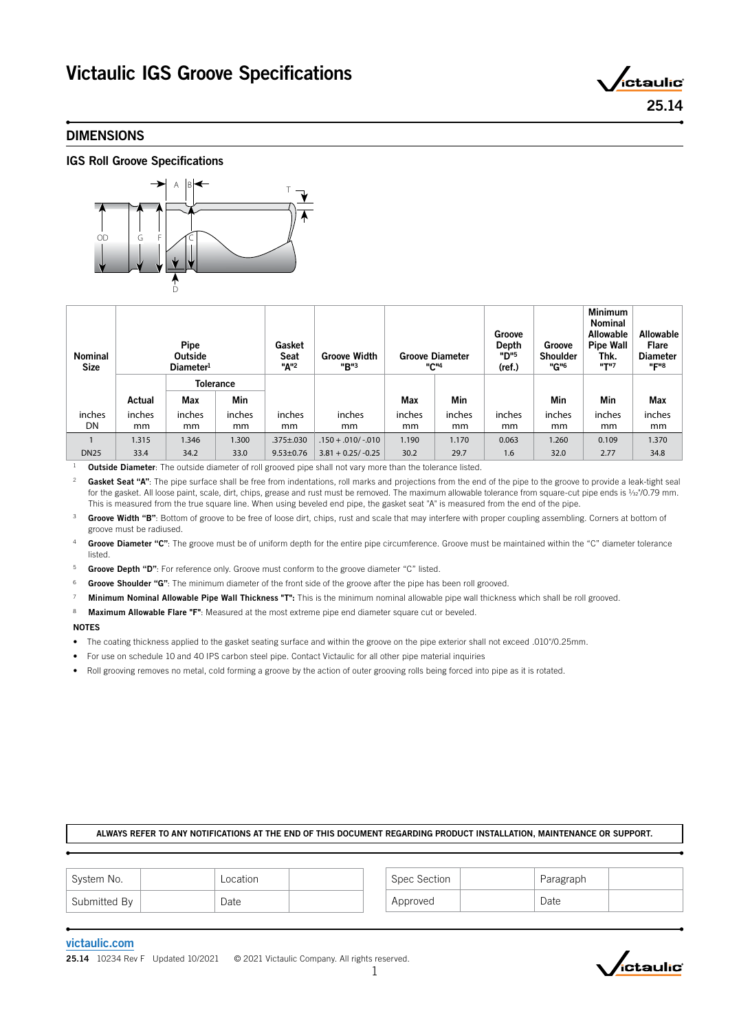# Victaulic IGS Groove Specifications

# DIMENSIONS



| <b>Nominal</b><br><b>Size</b> | Pipe<br>Outside<br>Diameter <sup>1</sup> |        |            | Gasket<br><b>Seat</b><br>"A" <sup>2</sup> | <b>Groove Width</b><br>"B"3 | <b>Groove Diameter</b><br>"C" <sup>4</sup> |        | Groove<br>Depth<br>"D"5<br>(ref.) | Groove<br><b>Shoulder</b><br>"G" <sup>6</sup> | <b>Minimum</b><br>Nominal<br>Allowable<br><b>Pipe Wall</b><br>Thk.<br>ייד" | Allowable<br><b>Flare</b><br><b>Diameter</b><br>"F"8 |
|-------------------------------|------------------------------------------|--------|------------|-------------------------------------------|-----------------------------|--------------------------------------------|--------|-----------------------------------|-----------------------------------------------|----------------------------------------------------------------------------|------------------------------------------------------|
|                               | <b>Tolerance</b>                         |        |            |                                           |                             |                                            |        |                                   |                                               |                                                                            |                                                      |
|                               | Actual                                   | Max    | <b>Min</b> |                                           |                             | Max                                        | Min    |                                   | Min                                           | Min                                                                        | Max                                                  |
| inches                        | inches                                   | inches | inches     | inches                                    | inches                      | inches                                     | inches | inches                            | inches                                        | inches                                                                     | inches                                               |
| DN                            | mm                                       | mm     | mm         | mm                                        | mm                          | mm                                         | mm     | mm                                | mm                                            | mm                                                                         | mm                                                   |
|                               | 1.315                                    | 1.346  | 1.300      | $.375 \pm .030$                           | $.150 + .010/-.010$         | 1.190                                      | 1.170  | 0.063                             | 1.260                                         | 0.109                                                                      | 1.370                                                |
| <b>DN25</b>                   | 33.4                                     | 34.2   | 33.0       | $9.53 \pm 0.76$                           | $3.81 + 0.25/ -0.25$        | 30.2                                       | 29.7   | 1.6                               | 32.0                                          | 2.77                                                                       | 34.8                                                 |

Outside Diameter: The outside diameter of roll grooved pipe shall not vary more than the tolerance listed.

<sup>2</sup> Gasket Seat "A": The pipe surface shall be free from indentations, roll marks and projections from the end of the pipe to the groove to provide a leak-tight seal for the gasket. All loose paint, scale, dirt, chips, grease and rust must be removed. The maximum allowable tolerance from square-cut pipe ends is 1/32"/0.79 mm. This is measured from the true square line. When using beveled end pipe, the gasket seat "A" is measured from the end of the pipe.

<sup>3</sup> Groove Width "B": Bottom of groove to be free of loose dirt, chips, rust and scale that may interfere with proper coupling assembling. Corners at bottom of groove must be radiused.

Groove Diameter "C": The groove must be of uniform depth for the entire pipe circumference. Groove must be maintained within the "C" diameter tolerance listed.

<sup>5</sup> Groove Depth "D": For reference only. Groove must conform to the groove diameter "C" listed.

<sup>6</sup> Groove Shoulder "G": The minimum diameter of the front side of the groove after the pipe has been roll grooved.

Minimum Nominal Allowable Pipe Wall Thickness "T": This is the minimum nominal allowable pipe wall thickness which shall be roll grooved.

Maximum Allowable Flare "F": Measured at the most extreme pipe end diameter square cut or beveled.

### NOTES

- The coating thickness applied to the gasket seating surface and within the groove on the pipe exterior shall not exceed .010"/0.25mm.
- For use on schedule 10 and 40 IPS carbon steel pipe. Contact Victaulic for all other pipe material inquiries
- Roll grooving removes no metal, cold forming a groove by the action of outer grooving rolls being forced into pipe as it is rotated.

## ALWAYS REFER TO ANY NOTIFICATIONS AT THE END OF THIS DOCUMENT REGARDING PRODUCT INSTALLATION, MAINTENANCE OR SUPPORT.

| System No.<br>Location | Spec Section | Paragraph |  |
|------------------------|--------------|-----------|--|
| Submitted By<br>Date   | Approved     | Date      |  |

## [victaulic.com](http://www.victaulic.com)

25.14 10234 Rev F Updated 10/2021 © 2021 Victaulic Company. All rights reserved.



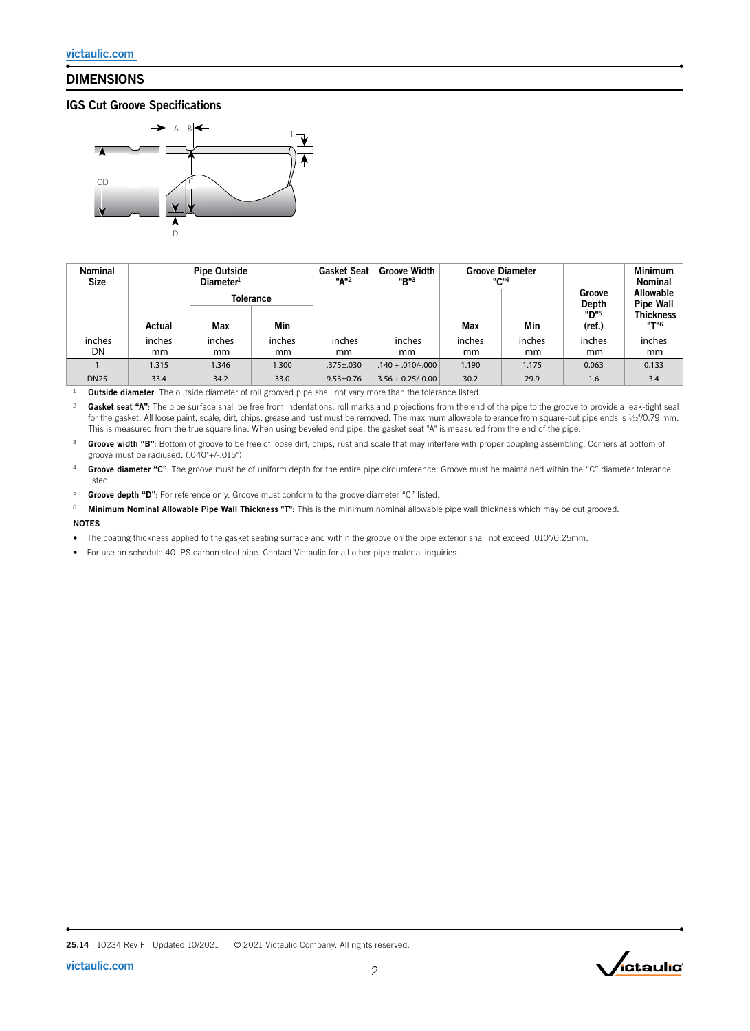# DIMENSIONS

## IGS Cut Groove Specifications



| <b>Nominal</b><br><b>Size</b> |        | <b>Pipe Outside</b><br>Diameter <sup>1</sup> |        | <b>Gasket Seat</b><br>"A" <sup>2</sup> | <b>Groove Width</b><br>"B"3 | "C" <sup>4</sup> | <b>Groove Diameter</b> |                            | <b>Minimum</b><br><b>Nominal</b> |
|-------------------------------|--------|----------------------------------------------|--------|----------------------------------------|-----------------------------|------------------|------------------------|----------------------------|----------------------------------|
|                               |        | <b>Tolerance</b>                             |        |                                        |                             |                  |                        | Groove<br>Depth            | Allowable<br><b>Pipe Wall</b>    |
|                               | Actual | Max                                          | Min    |                                        |                             | <b>Max</b>       | Min                    | "D" <sup>5</sup><br>(ref.) | <b>Thickness</b><br><b>"T"6</b>  |
| inches                        | inches | inches                                       | inches | inches                                 | inches                      | inches           | inches                 | inches                     | inches                           |
| DN                            | mm     | mm                                           | mm     | <sub>mm</sub>                          | mm                          | mm               | mm                     | mm                         | <sub>mm</sub>                    |
|                               | 1.315  | 1.346                                        | 1.300  | $.375 \pm .030$                        | $.140 + .010/-000$          | 1.190            | 1.175                  | 0.063                      | 0.133                            |
| <b>DN25</b>                   | 33.4   | 34.2                                         | 33.0   | $9.53 \pm 0.76$                        | $3.56 + 0.25/-0.00$         | 30.2             | 29.9                   | 1.6                        | 3.4                              |

<sup>1</sup> Outside diameter: The outside diameter of roll grooved pipe shall not vary more than the tolerance listed.

<sup>2</sup> Gasket seat "A": The pipe surface shall be free from indentations, roll marks and projections from the end of the pipe to the groove to provide a leak-tight seal for the gasket. All loose paint, scale, dirt, chips, grease and rust must be removed. The maximum allowable tolerance from square-cut pipe ends is 1/32"/0.79 mm. This is measured from the true square line. When using beveled end pipe, the gasket seat "A" is measured from the end of the pipe.

<sup>3</sup> Groove width "B": Bottom of groove to be free of loose dirt, chips, rust and scale that may interfere with proper coupling assembling. Corners at bottom of groove must be radiused. (.040"+/-.015")

4 Groove diameter "C": The groove must be of uniform depth for the entire pipe circumference. Groove must be maintained within the "C" diameter tolerance listed.

<sup>5</sup> Groove depth "D": For reference only. Groove must conform to the groove diameter "C" listed.

<sup>6</sup> Minimum Nominal Allowable Pipe Wall Thickness "T": This is the minimum nominal allowable pipe wall thickness which may be cut grooved.

## **NOTES**

• The coating thickness applied to the gasket seating surface and within the groove on the pipe exterior shall not exceed .010"/0.25mm.

• For use on schedule 40 IPS carbon steel pipe. Contact Victaulic for all other pipe material inquiries.

25.14 10234 Rev F Updated 10/2021 © 2021 Victaulic Company. All rights reserved.